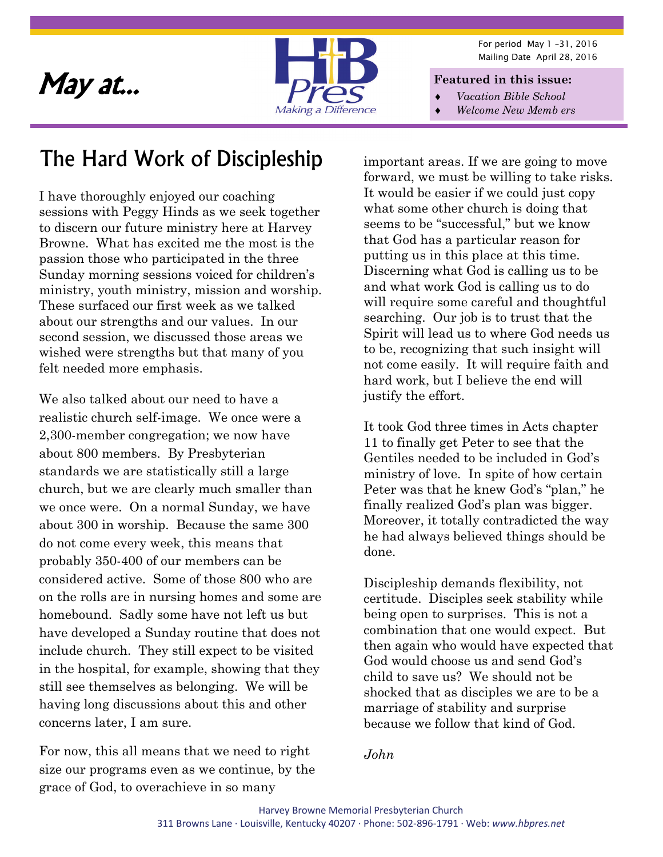

For period May 1 –31, 2016 Mailing Date April 28, 2016

- *Vacation Bible School*
- *Welcome New Memb ers*

#### The Hard Work of Discipleship

I have thoroughly enjoyed our coaching sessions with Peggy Hinds as we seek together to discern our future ministry here at Harvey Browne. What has excited me the most is the passion those who participated in the three Sunday morning sessions voiced for children's ministry, youth ministry, mission and worship. These surfaced our first week as we talked about our strengths and our values. In our second session, we discussed those areas we wished were strengths but that many of you felt needed more emphasis.

We also talked about our need to have a realistic church self-image. We once were a 2,300-member congregation; we now have about 800 members. By Presbyterian standards we are statistically still a large church, but we are clearly much smaller than we once were. On a normal Sunday, we have about 300 in worship. Because the same 300 do not come every week, this means that probably 350-400 of our members can be considered active. Some of those 800 who are on the rolls are in nursing homes and some are homebound. Sadly some have not left us but have developed a Sunday routine that does not include church. They still expect to be visited in the hospital, for example, showing that they still see themselves as belonging. We will be having long discussions about this and other concerns later, I am sure.

For now, this all means that we need to right size our programs even as we continue, by the grace of God, to overachieve in so many

important areas. If we are going to move forward, we must be willing to take risks. It would be easier if we could just copy what some other church is doing that seems to be "successful," but we know that God has a particular reason for putting us in this place at this time. Discerning what God is calling us to be and what work God is calling us to do will require some careful and thoughtful searching. Our job is to trust that the Spirit will lead us to where God needs us to be, recognizing that such insight will not come easily. It will require faith and hard work, but I believe the end will justify the effort.

It took God three times in Acts chapter 11 to finally get Peter to see that the Gentiles needed to be included in God's ministry of love. In spite of how certain Peter was that he knew God's "plan," he finally realized God's plan was bigger. Moreover, it totally contradicted the way he had always believed things should be done.

Discipleship demands flexibility, not certitude. Disciples seek stability while being open to surprises. This is not a combination that one would expect. But then again who would have expected that God would choose us and send God's child to save us? We should not be shocked that as disciples we are to be a marriage of stability and surprise because we follow that kind of God.

*John*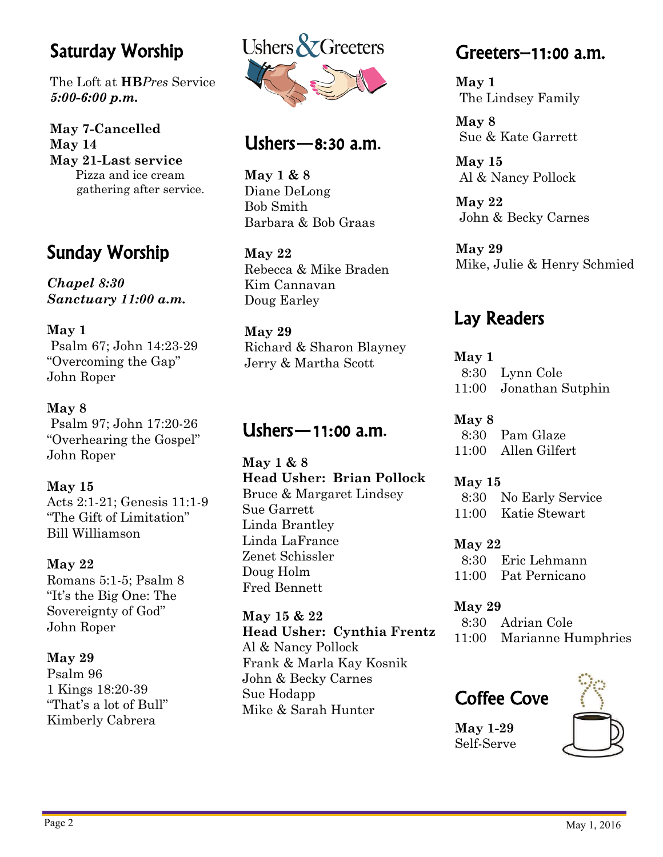#### Saturday Worship

The Loft at **HB***Pres* Service *5:00-6:00 p.m.* 

**May 7-Cancelled May 14 May 21-Last service**  Pizza and ice cream gathering after service.

#### Sunday Worship

*Chapel 8:30 Sanctuary 11:00 a.m.* 

#### **May 1**

 Psalm 67; John 14:23-29 "Overcoming the Gap" John Roper

#### **May 8**

 Psalm 97; John 17:20-26 "Overhearing the Gospel" John Roper

#### **May 15**

Acts 2:1-21; Genesis 11:1-9 "The Gift of Limitation" Bill Williamson

#### **May 22**

Romans 5:1-5; Psalm 8 "It's the Big One: The Sovereignty of God" John Roper

#### **May 29**

Psalm 96 1 Kings 18:20-39 "That's a lot of Bull" Kimberly Cabrera



#### Ushers—8:30 a.m.

**May 1 & 8**  Diane DeLong Bob Smith Barbara & Bob Graas

**May 22**  Rebecca & Mike Braden Kim Cannavan Doug Earley

#### **May 29**

Richard & Sharon Blayney Jerry & Martha Scott

#### Ushers—11:00 a.m.

**May 1 & 8 Head Usher: Brian Pollock**  Bruce & Margaret Lindsey Sue Garrett Linda Brantley Linda LaFrance Zenet Schissler Doug Holm Fred Bennett

**May 15 & 22 Head Usher: Cynthia Frentz**  Al & Nancy Pollock Frank & Marla Kay Kosnik John & Becky Carnes Sue Hodapp Mike & Sarah Hunter

#### Greeters–11:00 a.m.

**May 1**  The Lindsey Family

**May 8**  Sue & Kate Garrett

**May 15**  Al & Nancy Pollock

**May 22**  John & Becky Carnes

**May 29**  Mike, Julie & Henry Schmied

#### Lay Readers

**May 1**  8:30 Lynn Cole 11:00 Jonathan Sutphin

**May 8**  8:30 Pam Glaze 11:00 Allen Gilfert

**May 15**  8:30 No Early Service 11:00 Katie Stewart

**May 22** 

 8:30 Eric Lehmann 11:00 Pat Pernicano

**May 29**  8:30 Adrian Cole 11:00 Marianne Humphries

#### Coffee Cove

**May 1-29**  Self-Serve

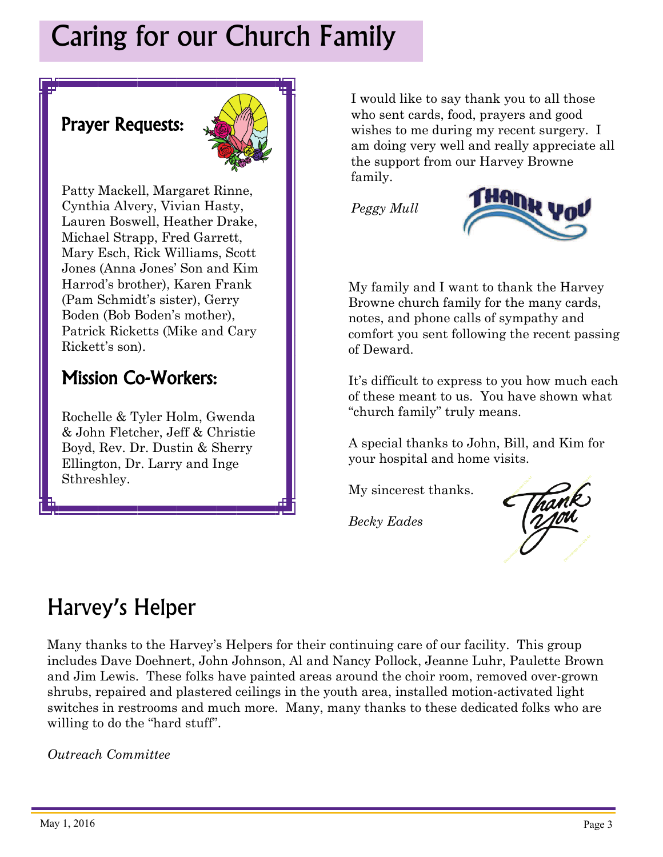### Caring for our Church Family

#### Prayer Requests:



Patty Mackell, Margaret Rinne, Cynthia Alvery, Vivian Hasty, Lauren Boswell, Heather Drake, Michael Strapp, Fred Garrett, Mary Esch, Rick Williams, Scott Jones (Anna Jones' Son and Kim Harrod's brother), Karen Frank (Pam Schmidt's sister), Gerry Boden (Bob Boden's mother), Patrick Ricketts (Mike and Cary Rickett's son).

#### Mission Co-Workers:

Rochelle & Tyler Holm, Gwenda & John Fletcher, Jeff & Christie Boyd, Rev. Dr. Dustin & Sherry Ellington, Dr. Larry and Inge Sthreshley.

I would like to say thank you to all those who sent cards, food, prayers and good wishes to me during my recent surgery. I am doing very well and really appreciate all the support from our Harvey Browne family.

*Peggy Mull* 



My family and I want to thank the Harvey Browne church family for the many cards, notes, and phone calls of sympathy and comfort you sent following the recent passing of Deward.

It's difficult to express to you how much each of these meant to us. You have shown what "church family" truly means.

A special thanks to John, Bill, and Kim for your hospital and home visits.

My sincerest thanks.

*Becky Eades* 



#### Harvey's Helper

Many thanks to the Harvey's Helpers for their continuing care of our facility. This group includes Dave Doehnert, John Johnson, Al and Nancy Pollock, Jeanne Luhr, Paulette Brown and Jim Lewis. These folks have painted areas around the choir room, removed over-grown shrubs, repaired and plastered ceilings in the youth area, installed motion-activated light switches in restrooms and much more. Many, many thanks to these dedicated folks who are willing to do the "hard stuff".

*Outreach Committee*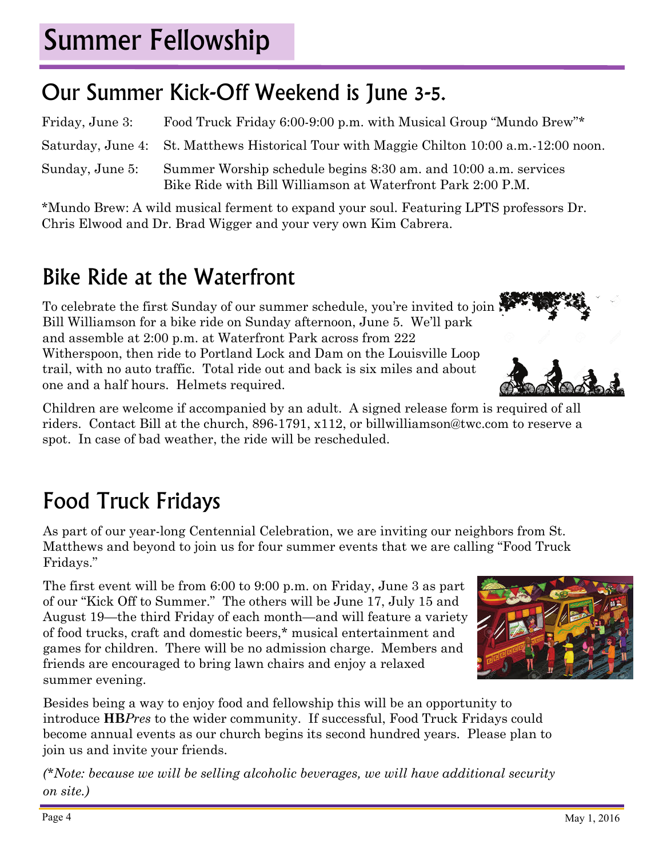# Summer Fellowship

### Our Summer Kick-Off Weekend is June 3-5.

Friday, June 3: Food Truck Friday 6:00-9:00 p.m. with Musical Group "Mundo Brew"\* Saturday, June 4: St. Matthews Historical Tour with Maggie Chilton 10:00 a.m.-12:00 noon. Sunday, June 5: Summer Worship schedule begins 8:30 am. and 10:00 a.m. services Bike Ride with Bill Williamson at Waterfront Park 2:00 P.M.

\*Mundo Brew: A wild musical ferment to expand your soul. Featuring LPTS professors Dr. Chris Elwood and Dr. Brad Wigger and your very own Kim Cabrera.

### Bike Ride at the Waterfront

To celebrate the first Sunday of our summer schedule, you're invited to join Bill Williamson for a bike ride on Sunday afternoon, June 5. We'll park and assemble at 2:00 p.m. at Waterfront Park across from 222 Witherspoon, then ride to Portland Lock and Dam on the Louisville Loop trail, with no auto traffic. Total ride out and back is six miles and about one and a half hours. Helmets required.

Children are welcome if accompanied by an adult. A signed release form is required of all riders. Contact Bill at the church, 896-1791, x112, or billwilliamson@twc.com to reserve a spot. In case of bad weather, the ride will be rescheduled.

### Food Truck Fridays

As part of our year-long Centennial Celebration, we are inviting our neighbors from St. Matthews and beyond to join us for four summer events that we are calling "Food Truck Fridays."

The first event will be from 6:00 to 9:00 p.m. on Friday, June 3 as part of our "Kick Off to Summer." The others will be June 17, July 15 and August 19—the third Friday of each month—and will feature a variety of food trucks, craft and domestic beers,\* musical entertainment and games for children. There will be no admission charge. Members and friends are encouraged to bring lawn chairs and enjoy a relaxed summer evening.



Besides being a way to enjoy food and fellowship this will be an opportunity to introduce **HB***Pres* to the wider community. If successful, Food Truck Fridays could become annual events as our church begins its second hundred years. Please plan to join us and invite your friends.

*(\*Note: because we will be selling alcoholic beverages, we will have additional security on site.)*

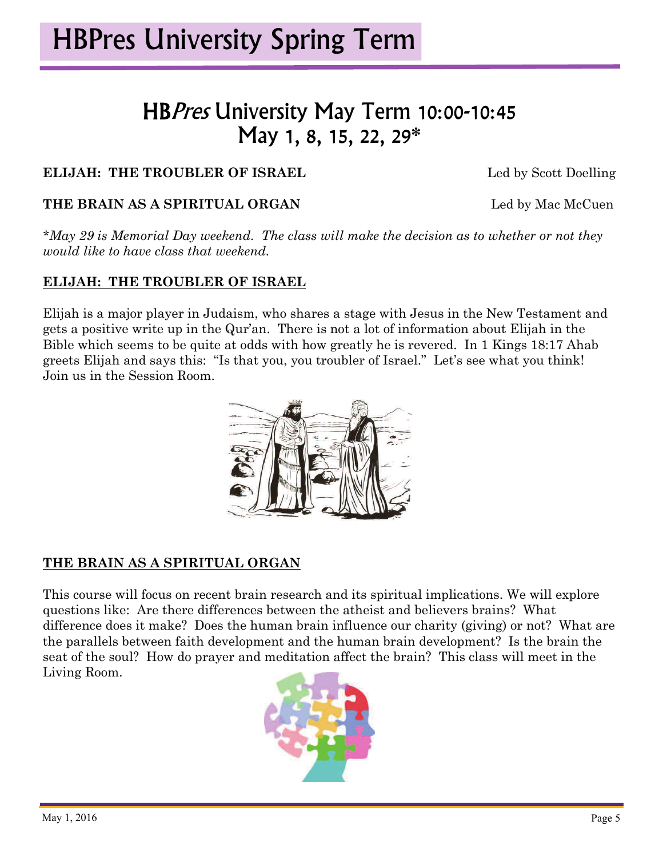#### HBPres University May Term 10:00-10:45 May 1, 8, 15, 22, 29\*

#### **ELIJAH: THE TROUBLER OF ISRAEL** Led by Scott Doelling

#### **THE BRAIN AS A SPIRITUAL ORGAN** Led by Mac McCuen

*\*May 29 is Memorial Day weekend. The class will make the decision as to whether or not they would like to have class that weekend.* 

#### **ELIJAH: THE TROUBLER OF ISRAEL**

Elijah is a major player in Judaism, who shares a stage with Jesus in the New Testament and gets a positive write up in the Qur'an. There is not a lot of information about Elijah in the Bible which seems to be quite at odds with how greatly he is revered. In 1 Kings 18:17 Ahab greets Elijah and says this: "Is that you, you troubler of Israel." Let's see what you think! Join us in the Session Room.



#### **THE BRAIN AS A SPIRITUAL ORGAN**

This course will focus on recent brain research and its spiritual implications. We will explore questions like: Are there differences between the atheist and believers brains? What difference does it make? Does the human brain influence our charity (giving) or not? What are the parallels between faith development and the human brain development? Is the brain the seat of the soul? How do prayer and meditation affect the brain? This class will meet in the Living Room.

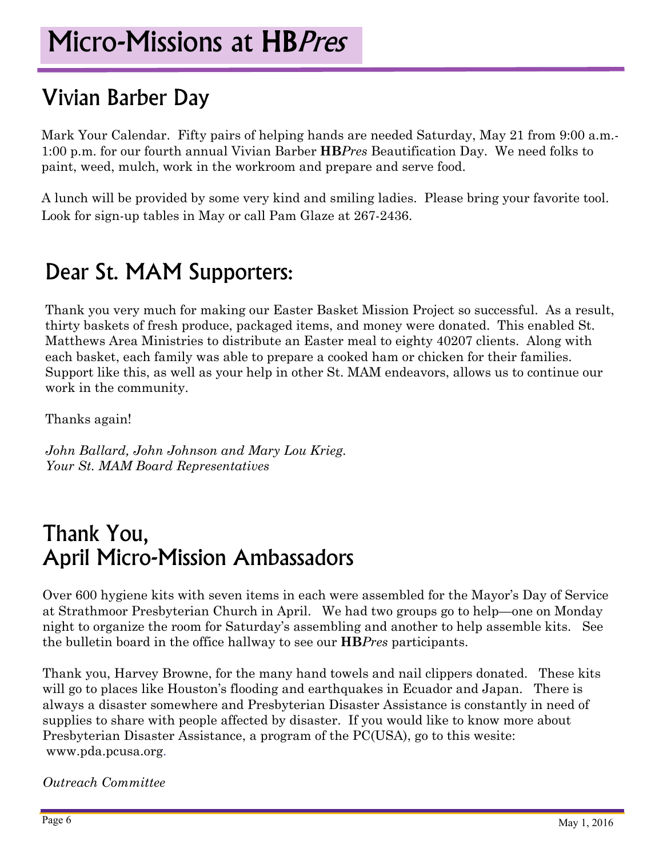#### Vivian Barber Day

Mark Your Calendar. Fifty pairs of helping hands are needed Saturday, May 21 from 9:00 a.m.- 1:00 p.m. for our fourth annual Vivian Barber **HB***Pres* Beautification Day. We need folks to paint, weed, mulch, work in the workroom and prepare and serve food.

A lunch will be provided by some very kind and smiling ladies. Please bring your favorite tool. Look for sign-up tables in May or call Pam Glaze at 267-2436.

#### Dear St. MAM Supporters:

Thank you very much for making our Easter Basket Mission Project so successful. As a result, thirty baskets of fresh produce, packaged items, and money were donated. This enabled St. Matthews Area Ministries to distribute an Easter meal to eighty 40207 clients. Along with each basket, each family was able to prepare a cooked ham or chicken for their families. Support like this, as well as your help in other St. MAM endeavors, allows us to continue our work in the community.

Thanks again!

*John Ballard, John Johnson and Mary Lou Krieg. Your St. MAM Board Representatives* 

#### Thank You, April Micro-Mission Ambassadors

Over 600 hygiene kits with seven items in each were assembled for the Mayor's Day of Service at Strathmoor Presbyterian Church in April. We had two groups go to help—one on Monday night to organize the room for Saturday's assembling and another to help assemble kits. See the bulletin board in the office hallway to see our **HB***Pres* participants.

Thank you, Harvey Browne, for the many hand towels and nail clippers donated. These kits will go to places like Houston's flooding and earthquakes in Ecuador and Japan. There is always a disaster somewhere and Presbyterian Disaster Assistance is constantly in need of supplies to share with people affected by disaster. If you would like to know more about Presbyterian Disaster Assistance, a program of the PC(USA), go to this wesite: www.pda.pcusa.org.

*Outreach Committee*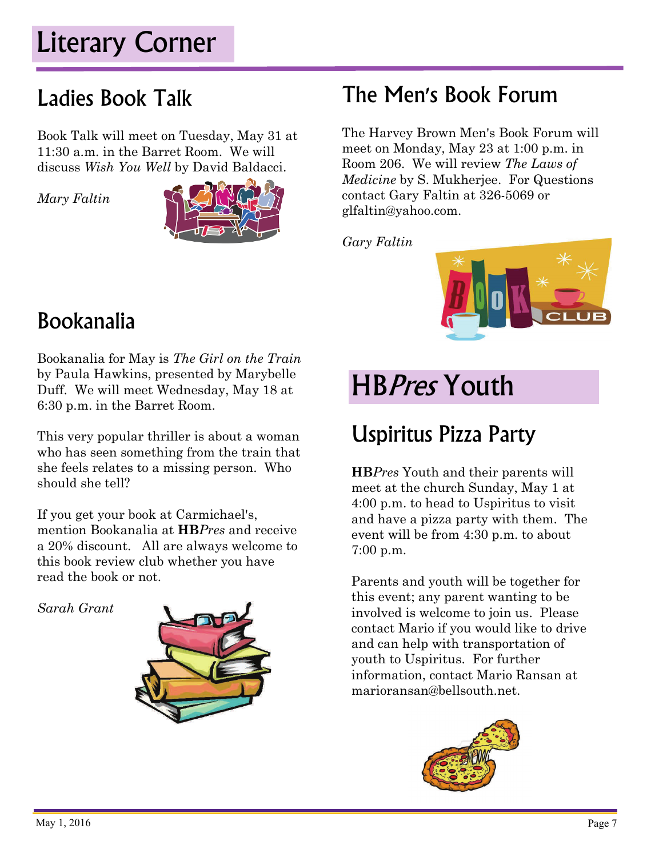### Literary Corner

#### Ladies Book Talk

Book Talk will meet on Tuesday, May 31 at 11:30 a.m. in the Barret Room. We will discuss *Wish You Well* by David Baldacci.

*Mary Faltin* 



### The Men's Book Forum

The Harvey Brown Men's Book Forum will meet on Monday, May 23 at 1:00 p.m. in Room 206. We will review *The Laws of Medicine* by S. Mukherjee. For Questions contact Gary Faltin at 326-5069 or glfaltin@yahoo.com.

*Gary Faltin* 



#### Bookanalia

Bookanalia for May is *The Girl on the Train*  by Paula Hawkins, presented by Marybelle Duff. We will meet Wednesday, May 18 at 6:30 p.m. in the Barret Room.

This very popular thriller is about a woman who has seen something from the train that she feels relates to a missing person. Who should she tell?

If you get your book at Carmichael's, mention Bookanalia at **HB***Pres* and receive a 20% discount. All are always welcome to this book review club whether you have read the book or not.

*Sarah Grant* 



### **HBPres Youth**

### Uspiritus Pizza Party

**HB***Pres* Youth and their parents will meet at the church Sunday, May 1 at 4:00 p.m. to head to Uspiritus to visit and have a pizza party with them. The event will be from 4:30 p.m. to about 7:00 p.m.

Parents and youth will be together for this event; any parent wanting to be involved is welcome to join us. Please contact Mario if you would like to drive and can help with transportation of youth to Uspiritus. For further information, contact Mario Ransan at marioransan@bellsouth.net.

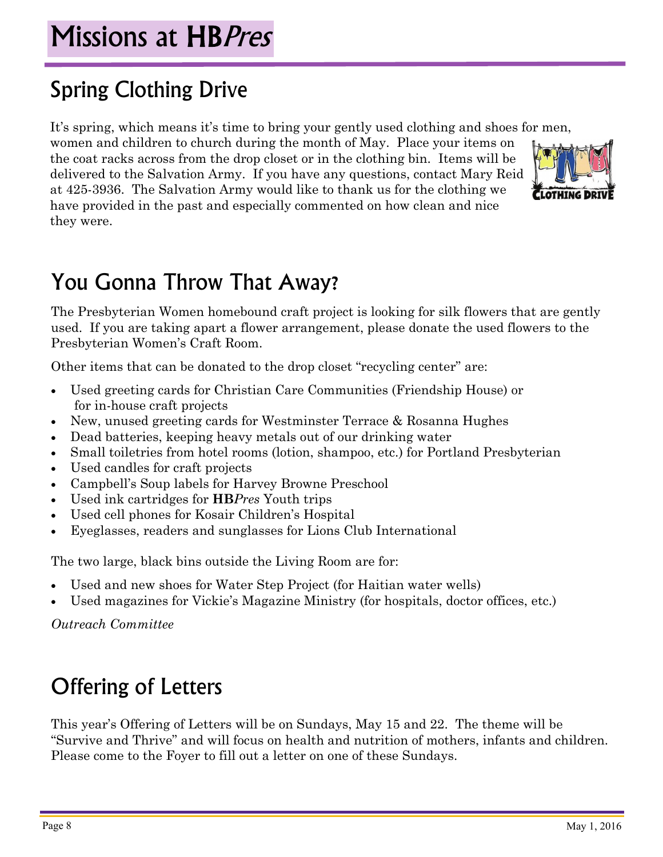### Missions at HBPres

### Spring Clothing Drive

It's spring, which means it's time to bring your gently used clothing and shoes for men,

women and children to church during the month of May. Place your items on the coat racks across from the drop closet or in the clothing bin. Items will be delivered to the Salvation Army. If you have any questions, contact Mary Reid at 425-3936. The Salvation Army would like to thank us for the clothing we have provided in the past and especially commented on how clean and nice they were.



### You Gonna Throw That Away?

The Presbyterian Women homebound craft project is looking for silk flowers that are gently used. If you are taking apart a flower arrangement, please donate the used flowers to the Presbyterian Women's Craft Room.

Other items that can be donated to the drop closet "recycling center" are:

- Used greeting cards for Christian Care Communities (Friendship House) or for in-house craft projects
- New, unused greeting cards for Westminster Terrace & Rosanna Hughes
- Dead batteries, keeping heavy metals out of our drinking water
- Small toiletries from hotel rooms (lotion, shampoo, etc.) for Portland Presbyterian
- Used candles for craft projects
- Campbell's Soup labels for Harvey Browne Preschool
- Used ink cartridges for **HB***Pres* Youth trips
- Used cell phones for Kosair Children's Hospital
- Eyeglasses, readers and sunglasses for Lions Club International

The two large, black bins outside the Living Room are for:

- Used and new shoes for Water Step Project (for Haitian water wells)
- Used magazines for Vickie's Magazine Ministry (for hospitals, doctor offices, etc.)

*Outreach Committee* 

### Offering of Letters

This year's Offering of Letters will be on Sundays, May 15 and 22. The theme will be "Survive and Thrive" and will focus on health and nutrition of mothers, infants and children. Please come to the Foyer to fill out a letter on one of these Sundays.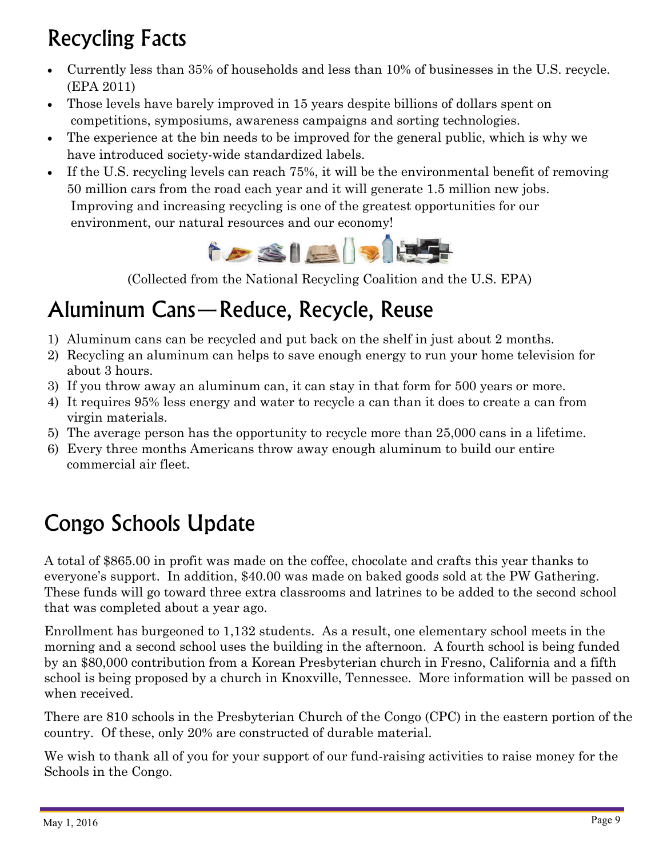### Recycling Facts

- Currently less than 35% of households and less than 10% of businesses in the U.S. recycle. (EPA 2011)
- Those levels have barely improved in 15 years despite billions of dollars spent on competitions, symposiums, awareness campaigns and sorting technologies.
- The experience at the bin needs to be improved for the general public, which is why we have introduced society-wide standardized labels.
- If the U.S. recycling levels can reach 75%, it will be the environmental benefit of removing 50 million cars from the road each year and it will generate 1.5 million new jobs. Improving and increasing recycling is one of the greatest opportunities for our environment, our natural resources and our economy!



(Collected from the National Recycling Coalition and the U.S. EPA)

### Aluminum Cans—Reduce, Recycle, Reuse

- 1) Aluminum cans can be recycled and put back on the shelf in just about 2 months.
- 2) Recycling an aluminum can helps to save enough energy to run your home television for about 3 hours.
- 3) If you throw away an aluminum can, it can stay in that form for 500 years or more.
- 4) It requires 95% less energy and water to recycle a can than it does to create a can from virgin materials.
- 5) The average person has the opportunity to recycle more than 25,000 cans in a lifetime.
- 6) Every three months Americans throw away enough aluminum to build our entire commercial air fleet.

### Congo Schools Update

A total of \$865.00 in profit was made on the coffee, chocolate and crafts this year thanks to everyone's support. In addition, \$40.00 was made on baked goods sold at the PW Gathering. These funds will go toward three extra classrooms and latrines to be added to the second school that was completed about a year ago.

Enrollment has burgeoned to 1,132 students. As a result, one elementary school meets in the morning and a second school uses the building in the afternoon. A fourth school is being funded by an \$80,000 contribution from a Korean Presbyterian church in Fresno, California and a fifth school is being proposed by a church in Knoxville, Tennessee. More information will be passed on when received.

There are 810 schools in the Presbyterian Church of the Congo (CPC) in the eastern portion of the country. Of these, only 20% are constructed of durable material.

We wish to thank all of you for your support of our fund-raising activities to raise money for the Schools in the Congo.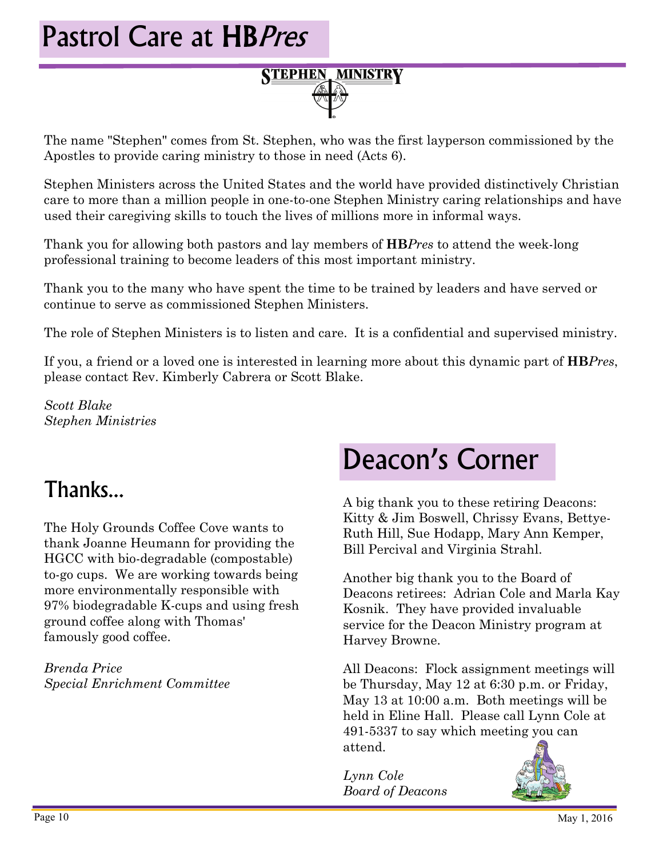## Pastrol Care at HBPres

# **STEPHEN MINISTRY**

The name "Stephen" comes from St. Stephen, who was the first layperson commissioned by the Apostles to provide caring ministry to those in need (Acts 6).

Stephen Ministers across the United States and the world have provided distinctively Christian care to more than a million people in one-to-one Stephen Ministry caring relationships and have used their caregiving skills to touch the lives of millions more in informal ways.

Thank you for allowing both pastors and lay members of **HB***Pres* to attend the week-long professional training to become leaders of this most important ministry.

Thank you to the many who have spent the time to be trained by leaders and have served or continue to serve as commissioned Stephen Ministers.

The role of Stephen Ministers is to listen and care. It is a confidential and supervised ministry.

If you, a friend or a loved one is interested in learning more about this dynamic part of **HB***Pres*, please contact Rev. Kimberly Cabrera or Scott Blake.

*Scott Blake Stephen Ministries* 

#### Thanks...

The Holy Grounds Coffee Cove wants to thank Joanne Heumann for providing the HGCC with bio-degradable (compostable) to-go cups. We are working towards being more environmentally responsible with 97% biodegradable K-cups and using fresh ground coffee along with Thomas' famously good coffee.

*Brenda Price Special Enrichment Committee* 

### Deacon's Corner

A big thank you to these retiring Deacons: Kitty & Jim Boswell, Chrissy Evans, Bettye-Ruth Hill, Sue Hodapp, Mary Ann Kemper, Bill Percival and Virginia Strahl.

Another big thank you to the Board of Deacons retirees: Adrian Cole and Marla Kay Kosnik. They have provided invaluable service for the Deacon Ministry program at Harvey Browne.

All Deacons: Flock assignment meetings will be Thursday, May 12 at 6:30 p.m. or Friday, May 13 at 10:00 a.m. Both meetings will be held in Eline Hall. Please call Lynn Cole at 491-5337 to say which meeting you can attend.

*Lynn Cole Board of Deacons* 

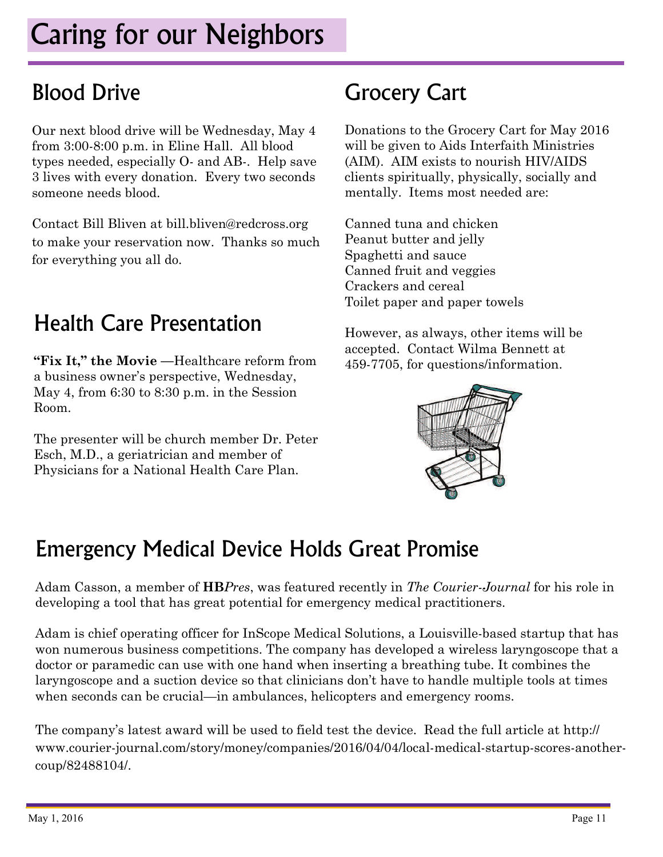### Caring for our Neighbors

#### Blood Drive

Our next blood drive will be Wednesday, May 4 from 3:00-8:00 p.m. in Eline Hall. All blood types needed, especially O- and AB-. Help save 3 lives with every donation. Every two seconds someone needs blood.

Contact Bill Bliven at bill.bliven@redcross.org to make your reservation now. Thanks so much for everything you all do.

### Health Care Presentation

**"Fix It," the Movie —**Healthcare reform from a business owner's perspective, Wednesday, May 4, from 6:30 to 8:30 p.m. in the Session Room.

The presenter will be church member Dr. Peter Esch, M.D., a geriatrician and member of Physicians for a National Health Care Plan.

#### Grocery Cart

Donations to the Grocery Cart for May 2016 will be given to Aids Interfaith Ministries (AIM). AIM exists to nourish HIV/AIDS clients spiritually, physically, socially and mentally. Items most needed are:

Canned tuna and chicken Peanut butter and jelly Spaghetti and sauce Canned fruit and veggies Crackers and cereal Toilet paper and paper towels

However, as always, other items will be accepted. Contact Wilma Bennett at 459-7705, for questions/information.



#### Emergency Medical Device Holds Great Promise

Adam Casson, a member of **HB***Pres*, was featured recently in *The Courier-Journal* for his role in developing a tool that has great potential for emergency medical practitioners.

Adam is chief operating officer for InScope Medical Solutions, a Louisville-based startup that has won numerous business competitions. The company has developed a wireless laryngoscope that a doctor or paramedic can use with one hand when inserting a breathing tube. It combines the laryngoscope and a suction device so that clinicians don't have to handle multiple tools at times when seconds can be crucial—in ambulances, helicopters and emergency rooms.

The company's latest award will be used to field test the device. Read the full article at http:// www.courier-journal.com/story/money/companies/2016/04/04/local-medical-startup-scores-anothercoup/82488104/.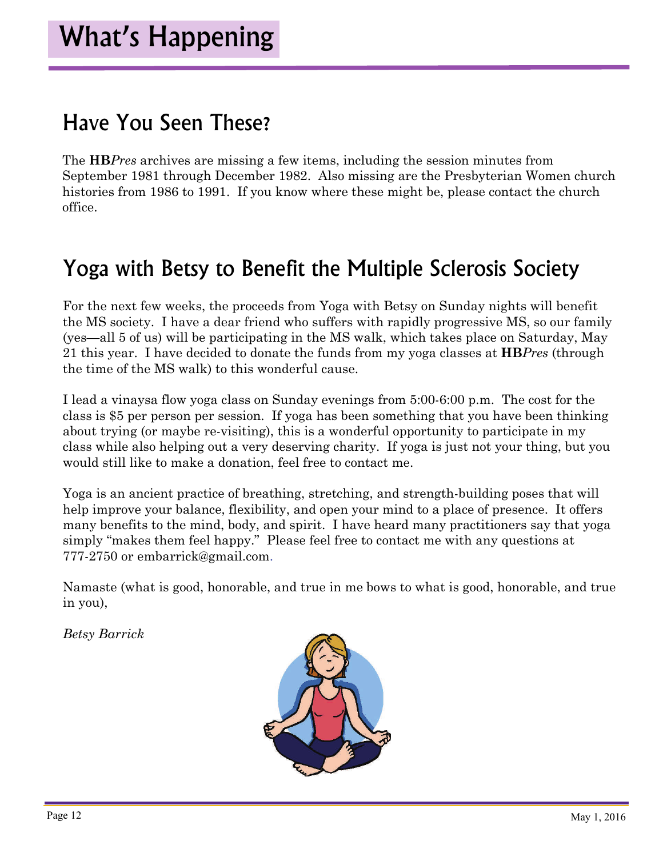#### Have You Seen These?

The **HB***Pres* archives are missing a few items, including the session minutes from September 1981 through December 1982. Also missing are the Presbyterian Women church histories from 1986 to 1991. If you know where these might be, please contact the church office.

#### Yoga with Betsy to Benefit the Multiple Sclerosis Society

For the next few weeks, the proceeds from Yoga with Betsy on Sunday nights will benefit the MS society. I have a dear friend who suffers with rapidly progressive MS, so our family (yes—all 5 of us) will be participating in the MS walk, which takes place on Saturday, May 21 this year. I have decided to donate the funds from my yoga classes at **HB***Pres* (through the time of the MS walk) to this wonderful cause.

I lead a vinaysa flow yoga class on Sunday evenings from 5:00-6:00 p.m. The cost for the class is \$5 per person per session. If yoga has been something that you have been thinking about trying (or maybe re-visiting), this is a wonderful opportunity to participate in my class while also helping out a very deserving charity. If yoga is just not your thing, but you would still like to make a donation, feel free to contact me.

Yoga is an ancient practice of breathing, stretching, and strength-building poses that will help improve your balance, flexibility, and open your mind to a place of presence. It offers many benefits to the mind, body, and spirit. I have heard many practitioners say that yoga simply "makes them feel happy." Please feel free to contact me with any questions at 777-2750 or embarrick@gmail.com.

Namaste (what is good, honorable, and true in me bows to what is good, honorable, and true in you),

*Betsy Barrick* 

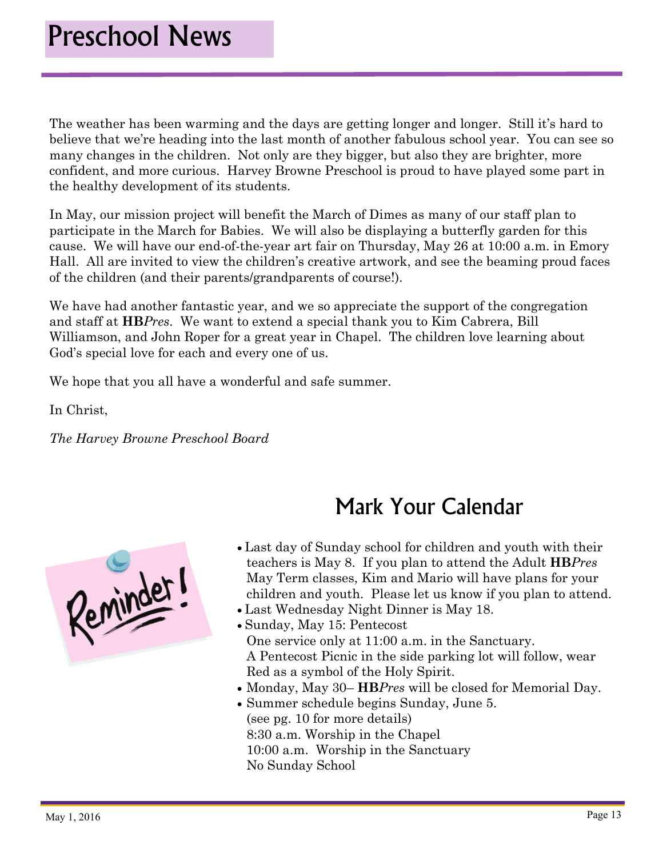The weather has been warming and the days are getting longer and longer. Still it's hard to believe that we're heading into the last month of another fabulous school year. You can see so many changes in the children. Not only are they bigger, but also they are brighter, more confident, and more curious. Harvey Browne Preschool is proud to have played some part in the healthy development of its students.

In May, our mission project will benefit the March of Dimes as many of our staff plan to participate in the March for Babies. We will also be displaying a butterfly garden for this cause. We will have our end-of-the-year art fair on Thursday, May 26 at 10:00 a.m. in Emory Hall. All are invited to view the children's creative artwork, and see the beaming proud faces of the children (and their parents/grandparents of course!).

We have had another fantastic year, and we so appreciate the support of the congregation and staff at **HB***Pres*. We want to extend a special thank you to Kim Cabrera, Bill Williamson, and John Roper for a great year in Chapel. The children love learning about God's special love for each and every one of us.

We hope that you all have a wonderful and safe summer.

In Christ,

*The Harvey Browne Preschool Board*



#### Mark Your Calendar

- Last day of Sunday school for children and youth with their teachers is May 8. If you plan to attend the Adult **HB***Pres* May Term classes, Kim and Mario will have plans for your children and youth. Please let us know if you plan to attend.
- Last Wednesday Night Dinner is May 18.
- Sunday, May 15: Pentecost One service only at 11:00 a.m. in the Sanctuary. A Pentecost Picnic in the side parking lot will follow, wear Red as a symbol of the Holy Spirit.
- Monday, May 30– **HB***Pres* will be closed for Memorial Day.
- Summer schedule begins Sunday, June 5. (see pg. 10 for more details) 8:30 a.m. Worship in the Chapel 10:00 a.m. Worship in the Sanctuary No Sunday School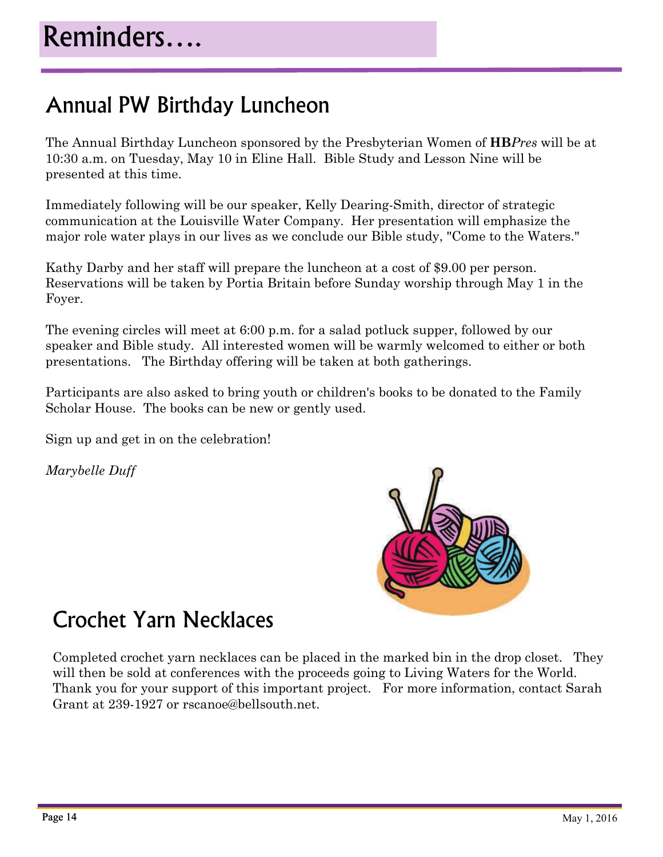#### Annual PW Birthday Luncheon

The Annual Birthday Luncheon sponsored by the Presbyterian Women of **HB***Pres* will be at 10:30 a.m. on Tuesday, May 10 in Eline Hall. Bible Study and Lesson Nine will be presented at this time.

Immediately following will be our speaker, Kelly Dearing-Smith, director of strategic communication at the Louisville Water Company. Her presentation will emphasize the major role water plays in our lives as we conclude our Bible study, "Come to the Waters."

Kathy Darby and her staff will prepare the luncheon at a cost of \$9.00 per person. Reservations will be taken by Portia Britain before Sunday worship through May 1 in the Foyer.

The evening circles will meet at 6:00 p.m. for a salad potluck supper, followed by our speaker and Bible study. All interested women will be warmly welcomed to either or both presentations. The Birthday offering will be taken at both gatherings.

Participants are also asked to bring youth or children's books to be donated to the Family Scholar House. The books can be new or gently used.

Sign up and get in on the celebration!

*Marybelle Duff*



#### Crochet Yarn Necklaces

Completed crochet yarn necklaces can be placed in the marked bin in the drop closet. They will then be sold at conferences with the proceeds going to Living Waters for the World. Thank you for your support of this important project. For more information, contact Sarah Grant at 239-1927 or rscanoe@bellsouth.net.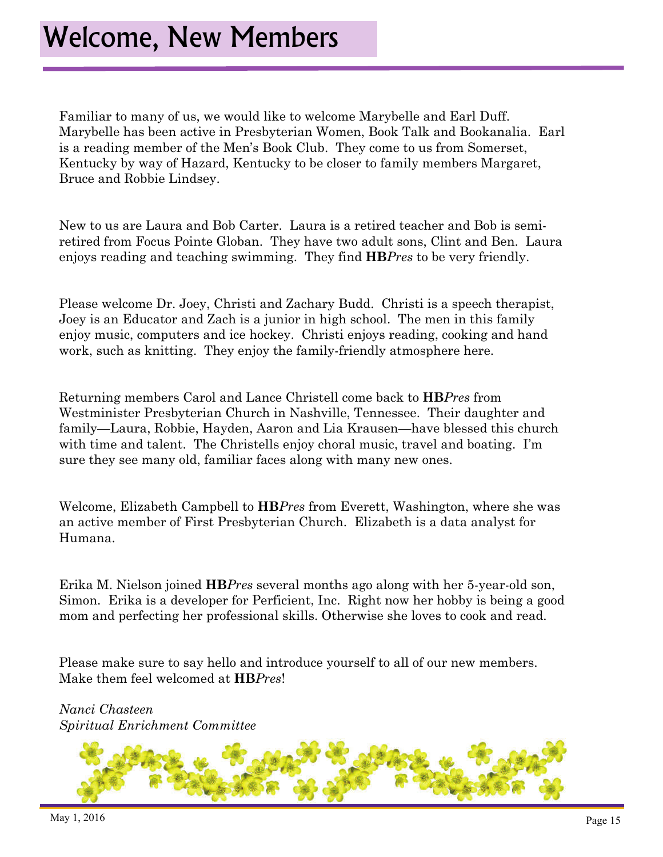Familiar to many of us, we would like to welcome Marybelle and Earl Duff. Marybelle has been active in Presbyterian Women, Book Talk and Bookanalia. Earl is a reading member of the Men's Book Club. They come to us from Somerset, Kentucky by way of Hazard, Kentucky to be closer to family members Margaret, Bruce and Robbie Lindsey.

New to us are Laura and Bob Carter. Laura is a retired teacher and Bob is semiretired from Focus Pointe Globan. They have two adult sons, Clint and Ben. Laura enjoys reading and teaching swimming. They find **HB***Pres* to be very friendly.

Please welcome Dr. Joey, Christi and Zachary Budd. Christi is a speech therapist, Joey is an Educator and Zach is a junior in high school. The men in this family enjoy music, computers and ice hockey. Christi enjoys reading, cooking and hand work, such as knitting. They enjoy the family-friendly atmosphere here.

Returning members Carol and Lance Christell come back to **HB***Pres* from Westminister Presbyterian Church in Nashville, Tennessee. Their daughter and family—Laura, Robbie, Hayden, Aaron and Lia Krausen—have blessed this church with time and talent. The Christells enjoy choral music, travel and boating. I'm sure they see many old, familiar faces along with many new ones.

Welcome, Elizabeth Campbell to **HB***Pres* from Everett, Washington, where she was an active member of First Presbyterian Church. Elizabeth is a data analyst for Humana.

Erika M. Nielson joined **HB***Pres* several months ago along with her 5-year-old son, Simon. Erika is a developer for Perficient, Inc. Right now her hobby is being a good mom and perfecting her professional skills. Otherwise she loves to cook and read.

Please make sure to say hello and introduce yourself to all of our new members. Make them feel welcomed at **HB***Pres*!

*Nanci Chasteen Spiritual Enrichment Committee* 

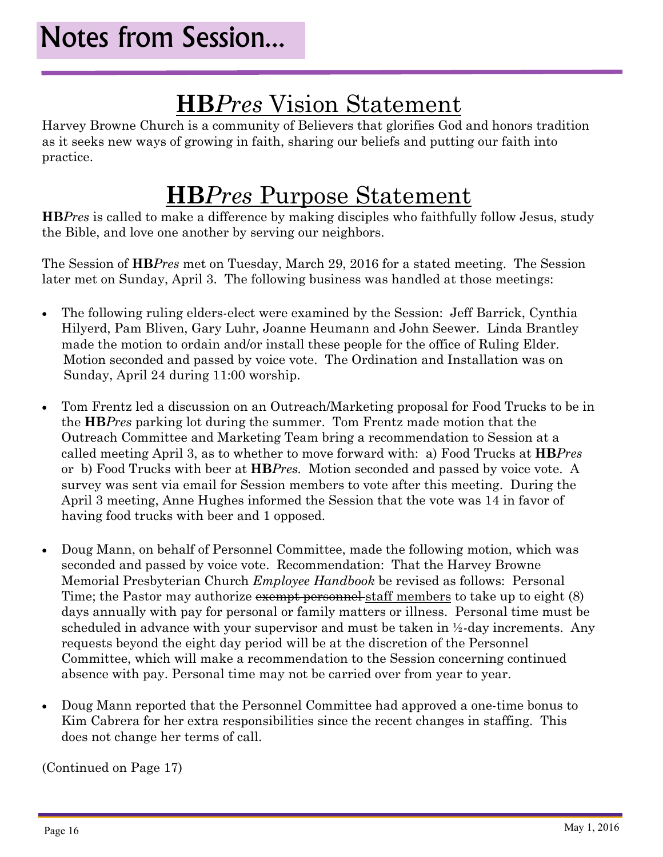### **HB***Pres* Vision Statement

Harvey Browne Church is a community of Believers that glorifies God and honors tradition as it seeks new ways of growing in faith, sharing our beliefs and putting our faith into practice.

### **HB***Pres* Purpose Statement

**HB***Pres* is called to make a difference by making disciples who faithfully follow Jesus, study the Bible, and love one another by serving our neighbors.

The Session of **HB***Pres* met on Tuesday, March 29, 2016 for a stated meeting. The Session later met on Sunday, April 3. The following business was handled at those meetings:

- The following ruling elders-elect were examined by the Session: Jeff Barrick, Cynthia Hilyerd, Pam Bliven, Gary Luhr, Joanne Heumann and John Seewer. Linda Brantley made the motion to ordain and/or install these people for the office of Ruling Elder. Motion seconded and passed by voice vote. The Ordination and Installation was on Sunday, April 24 during 11:00 worship.
- Tom Frentz led a discussion on an Outreach/Marketing proposal for Food Trucks to be in the **HB***Pres* parking lot during the summer. Tom Frentz made motion that the Outreach Committee and Marketing Team bring a recommendation to Session at a called meeting April 3, as to whether to move forward with: a) Food Trucks at **HB***Pres* or b) Food Trucks with beer at **HB***Pres.* Motion seconded and passed by voice vote. A survey was sent via email for Session members to vote after this meeting. During the April 3 meeting, Anne Hughes informed the Session that the vote was 14 in favor of having food trucks with beer and 1 opposed.
- Doug Mann, on behalf of Personnel Committee, made the following motion, which was seconded and passed by voice vote. Recommendation: That the Harvey Browne Memorial Presbyterian Church *Employee Handbook* be revised as follows: Personal Time; the Pastor may authorize exempt personnel staff members to take up to eight (8) days annually with pay for personal or family matters or illness. Personal time must be scheduled in advance with your supervisor and must be taken in ½-day increments. Any requests beyond the eight day period will be at the discretion of the Personnel Committee, which will make a recommendation to the Session concerning continued absence with pay. Personal time may not be carried over from year to year.
- Doug Mann reported that the Personnel Committee had approved a one-time bonus to Kim Cabrera for her extra responsibilities since the recent changes in staffing. This does not change her terms of call.

(Continued on Page 17)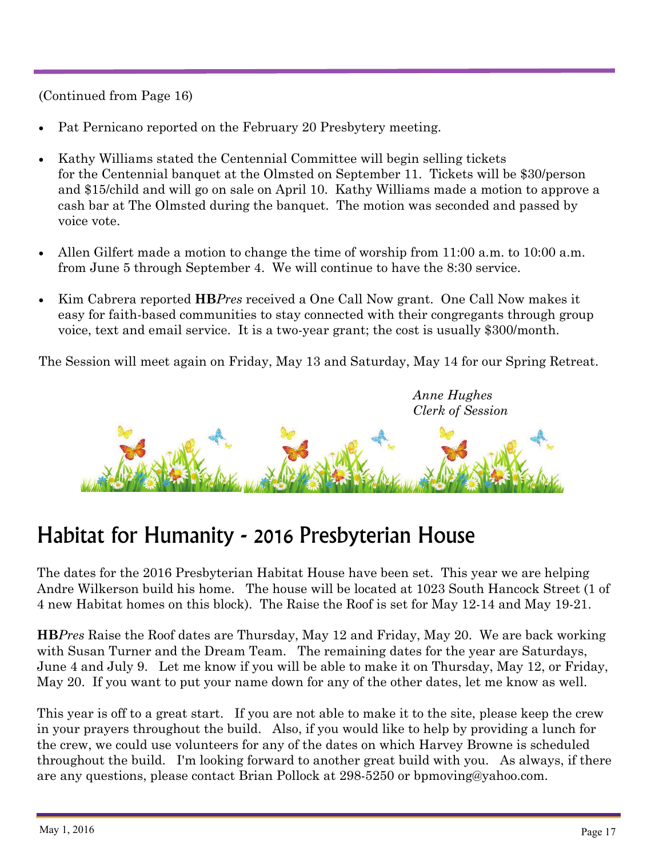(Continued from Page 16)

- Pat Pernicano reported on the February 20 Presbytery meeting.
- Kathy Williams stated the Centennial Committee will begin selling tickets for the Centennial banquet at the Olmsted on September 11. Tickets will be \$30/person and \$15/child and will go on sale on April 10. Kathy Williams made a motion to approve a cash bar at The Olmsted during the banquet. The motion was seconded and passed by voice vote.
- Allen Gilfert made a motion to change the time of worship from 11:00 a.m. to 10:00 a.m. from June 5 through September 4. We will continue to have the 8:30 service.
- Kim Cabrera reported **HB***Pres* received a One Call Now grant. One Call Now makes it easy for faith-based communities to stay connected with their congregants through group voice, text and email service. It is a two-year grant; the cost is usually \$300/month.

The Session will meet again on Friday, May 13 and Saturday, May 14 for our Spring Retreat.

 *Anne Hughes Clerk of Session* 



#### Habitat for Humanity - 2016 Presbyterian House

The dates for the 2016 Presbyterian Habitat House have been set. This year we are helping Andre Wilkerson build his home. The house will be located at 1023 South Hancock Street (1 of 4 new Habitat homes on this block). The Raise the Roof is set for May 12-14 and May 19-21.

**HB***Pres* Raise the Roof dates are Thursday, May 12 and Friday, May 20. We are back working with Susan Turner and the Dream Team. The remaining dates for the year are Saturdays, June 4 and July 9. Let me know if you will be able to make it on Thursday, May 12, or Friday, May 20. If you want to put your name down for any of the other dates, let me know as well.

This year is off to a great start. If you are not able to make it to the site, please keep the crew in your prayers throughout the build. Also, if you would like to help by providing a lunch for the crew, we could use volunteers for any of the dates on which Harvey Browne is scheduled throughout the build. I'm looking forward to another great build with you. As always, if there are any questions, please contact Brian Pollock at 298-5250 or bpmoving@yahoo.com.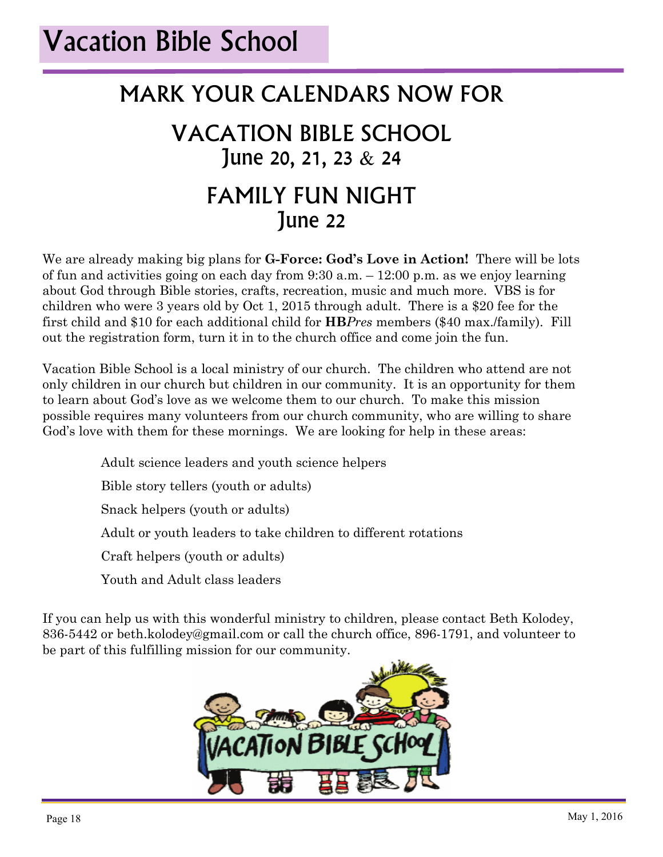#### MARK YOUR CALENDARS NOW FOR

#### VACATION BIBLE SCHOOL June 20, 21, 23 & 24 FAMILY FUN NIGHT June 22

We are already making big plans for **G-Force: God's Love in Action!** There will be lots of fun and activities going on each day from 9:30 a.m. – 12:00 p.m. as we enjoy learning about God through Bible stories, crafts, recreation, music and much more. VBS is for children who were 3 years old by Oct 1, 2015 through adult. There is a \$20 fee for the first child and \$10 for each additional child for **HB***Pres* members (\$40 max./family). Fill out the registration form, turn it in to the church office and come join the fun.

Vacation Bible School is a local ministry of our church. The children who attend are not only children in our church but children in our community. It is an opportunity for them to learn about God's love as we welcome them to our church. To make this mission possible requires many volunteers from our church community, who are willing to share God's love with them for these mornings. We are looking for help in these areas:

Adult science leaders and youth science helpers

Bible story tellers (youth or adults)

Snack helpers (youth or adults)

Adult or youth leaders to take children to different rotations

Craft helpers (youth or adults)

Youth and Adult class leaders

If you can help us with this wonderful ministry to children, please contact Beth Kolodey, 836-5442 or beth.kolodey@gmail.com or call the church office, 896-1791, and volunteer to be part of this fulfilling mission for our community.

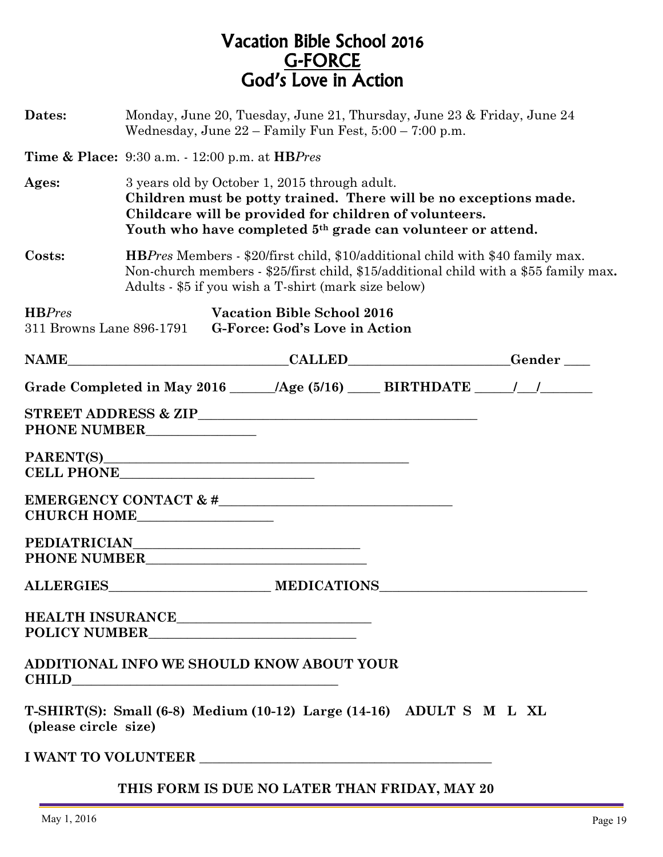#### Vacation Bible School 2016 G-FORCE God's Love in Action

| Dates:                                    | Monday, June 20, Tuesday, June 21, Thursday, June 23 & Friday, June 24<br>Wednesday, June $22$ – Family Fun Fest, $5:00$ – $7:00$ p.m.                                                                                                                  |  |                                                                    |                                                                                  |  |
|-------------------------------------------|---------------------------------------------------------------------------------------------------------------------------------------------------------------------------------------------------------------------------------------------------------|--|--------------------------------------------------------------------|----------------------------------------------------------------------------------|--|
|                                           | <b>Time &amp; Place:</b> 9:30 a.m. - 12:00 p.m. at <b>HB</b> Pres                                                                                                                                                                                       |  |                                                                    |                                                                                  |  |
| Ages:                                     | 3 years old by October 1, 2015 through adult.<br>Children must be potty trained. There will be no exceptions made.<br>Childcare will be provided for children of volunteers.<br>Youth who have completed 5 <sup>th</sup> grade can volunteer or attend. |  |                                                                    |                                                                                  |  |
| Costs:                                    | <b>HBPres Members - \$20/first child, \$10/additional child with \$40 family max.</b><br>Non-church members - \$25/first child, \$15/additional child with a \$55 family max.<br>Adults - \$5 if you wish a T-shirt (mark size below)                   |  |                                                                    |                                                                                  |  |
| <b>HBPres</b><br>311 Browns Lane 896-1791 |                                                                                                                                                                                                                                                         |  | <b>Vacation Bible School 2016</b><br>G-Force: God's Love in Action |                                                                                  |  |
| <b>NAME</b>                               |                                                                                                                                                                                                                                                         |  |                                                                    | EXALLED Gender                                                                   |  |
|                                           |                                                                                                                                                                                                                                                         |  |                                                                    | Grade Completed in May 2016 ______ /Age (5/16) _____ BIRTHDATE _____ /___/______ |  |
| PHONE NUMBER                              |                                                                                                                                                                                                                                                         |  |                                                                    |                                                                                  |  |
| CELL PHONE THE TELL PHONE                 |                                                                                                                                                                                                                                                         |  |                                                                    |                                                                                  |  |
| CHURCH HOME                               |                                                                                                                                                                                                                                                         |  |                                                                    |                                                                                  |  |
|                                           |                                                                                                                                                                                                                                                         |  |                                                                    |                                                                                  |  |
|                                           |                                                                                                                                                                                                                                                         |  |                                                                    |                                                                                  |  |
|                                           |                                                                                                                                                                                                                                                         |  |                                                                    |                                                                                  |  |
| ADDITIONAL INFO WE SHOULD KNOW ABOUT YOUR |                                                                                                                                                                                                                                                         |  |                                                                    |                                                                                  |  |
| (please circle size)                      |                                                                                                                                                                                                                                                         |  |                                                                    | T-SHIRT(S): Small (6-8) Medium (10-12) Large (14-16) ADULT S M L XL              |  |
|                                           |                                                                                                                                                                                                                                                         |  |                                                                    |                                                                                  |  |
|                                           |                                                                                                                                                                                                                                                         |  |                                                                    | THIS FORM IS DUE NO LATER THAN FRIDAY, MAY 20                                    |  |
|                                           |                                                                                                                                                                                                                                                         |  |                                                                    |                                                                                  |  |